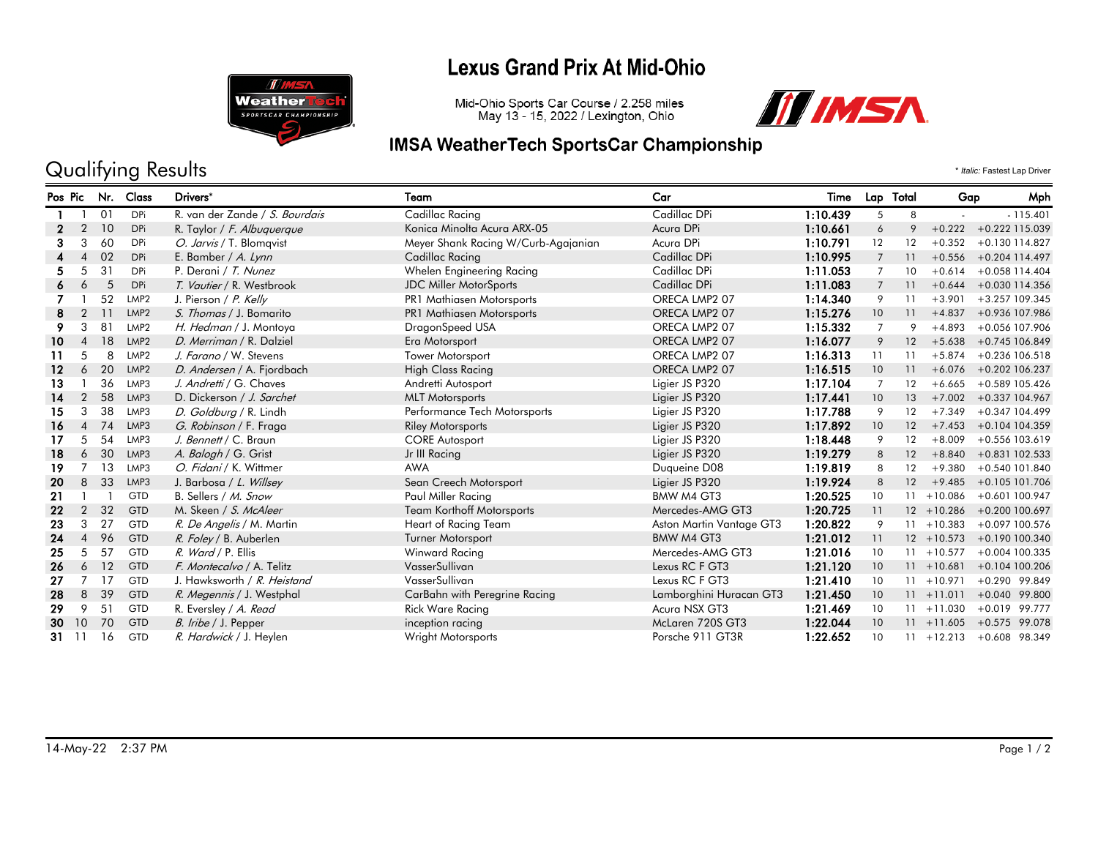### **Lexus Grand Prix At Mid-Ohio**



# Mid-Ohio Sports Car Course / 2.258 miles<br>May 13 - 15, 2022 / Lexington, Ohio



#### **IMSA WeatherTech SportsCar Championship**

# Qualifying Results \* *Italic:* Fastest Lap Driver

| Pos Pic       |                | Nr. | Class            | Drivers*                       | Team                                | Car                      | Time     |                | Lap Total | Gap           | Mph              |
|---------------|----------------|-----|------------------|--------------------------------|-------------------------------------|--------------------------|----------|----------------|-----------|---------------|------------------|
|               |                | 01  | <b>DPi</b>       | R. van der Zande / S. Bourdais | Cadillac Racing                     | Cadillac DPi             | 1:10.439 | 5              | 8         |               | $-115.401$       |
| 2             | $\overline{2}$ | 10  | <b>DPi</b>       | R. Taylor / F. Albuguergue     | Konica Minolta Acura ARX-05         | Acura DPi                | 1:10.661 | 6              | 9         | $+0.222$      | +0.222 115.039   |
| 3             | 3              | 60  | <b>DPi</b>       | O. Jarvis / T. Blomqvist       | Meyer Shank Racing W/Curb-Agajanian | Acura DPi                | 1:10.791 | 12             | 12        | $+0.352$      | $+0.130114.827$  |
|               | $\overline{4}$ | 02  | <b>DPi</b>       | E. Bamber / A. Lynn            | Cadillac Racing                     | Cadillac DPi             | 1:10.995 | $\overline{7}$ | 11        | $+0.556$      | $+0.204$ 114.497 |
| 5.            | 5              | 31  | <b>DPi</b>       | P. Derani / T. Nunez           | Whelen Engineering Racing           | Cadillac DPi             | 1:11.053 | $\overline{7}$ | 10        | $+0.614$      | $+0.058$ 114.404 |
| 6             | 6              | 5   | <b>DPi</b>       | T. Vautier / R. Westbrook      | <b>JDC Miller MotorSports</b>       | Cadillac DPi             | 1:11.083 | $\overline{7}$ | 11        | $+0.644$      | +0.030 114.356   |
|               |                | 52  | LMP <sub>2</sub> | J. Pierson / P. Kelly          | <b>PR1 Mathiasen Motorsports</b>    | ORECA LMP2 07            | 1:14.340 | 9              | 11        | $+3.901$      | +3.257 109.345   |
| 8             |                | 11  | LMP <sub>2</sub> | S. Thomas / J. Bomarito        | <b>PR1 Mathiasen Motorsports</b>    | ORECA LMP2 07            | 1:15.276 | 10             | 11        | $+4.837$      | +0.936 107.986   |
| 9             | 3              | 81  | LMP <sub>2</sub> | H. Hedman / J. Montoya         | DragonSpeed USA                     | ORECA LMP2 07            | 1:15.332 | $\overline{7}$ | 9         | $+4.893$      | +0.056 107.906   |
| 10            | $\overline{4}$ | 18  | LMP <sub>2</sub> | D. Merriman / R. Dalziel       | Era Motorsport                      | ORECA LMP2 07            | 1:16.077 | 9              | 12        | $+5.638$      | $+0.745$ 106.849 |
| 11            | 5              | 8   | LMP <sub>2</sub> | J. Farano / W. Stevens         | <b>Tower Motorsport</b>             | ORECA LMP2 07            | 1:16.313 | 11             | 11        | $+5.874$      | +0.236 106.518   |
| 12            | 6              | 20  | LMP <sub>2</sub> | D. Andersen / A. Fjordbach     | High Class Racing                   | ORECA LMP2 07            | 1:16.515 | 10             | 11        | $+6.076$      | $+0.202$ 106.237 |
| 13            |                | 36  | LMP3             | J. Andretti / G. Chaves        | Andretti Autosport                  | Ligier JS P320           | 1:17.104 | $\overline{7}$ | 12        | $+6.665$      | +0.589 105.426   |
| 14            | 2              | 58  | LMP3             | D. Dickerson / J. Sarchet      | <b>MLT Motorsports</b>              | Ligier JS P320           | 1:17.441 | 10             | 13        | $+7.002$      | +0.337 104.967   |
| 15            | 3              | 38  | LMP3             | D. Goldburg / R. Lindh         | Performance Tech Motorsports        | Ligier JS P320           | 1:17.788 | 9              | 12        | $+7.349$      | +0.347 104.499   |
| 16            | $\overline{4}$ | 74  | LMP3             | G. Robinson / F. Fraga         | <b>Riley Motorsports</b>            | Ligier JS P320           | 1:17.892 | 10             | 12        | $+7.453$      | +0.104 104.359   |
| 17            | 5              | 54  | LMP3             | J. Bennett / C. Braun          | <b>CORE Autosport</b>               | Ligier JS P320           | 1:18.448 | 9              | 12        | $+8.009$      | +0.556 103.619   |
| 18            | 6              | 30  | LMP3             | A. Balogh / G. Grist           | Jr III Racing                       | Ligier JS P320           | 1:19.279 | 8              | 12        | $+8.840$      | +0.831 102.533   |
| 19            |                | 13  | LMP3             | O. Fidani / K. Wittmer         | <b>AWA</b>                          | Duqueine D08             | 1:19.819 | 8              | 12        | $+9.380$      | $+0.540101.840$  |
| 20            | 8              | 33  | LMP3             | J. Barbosa / L. Willsey        | Sean Creech Motorsport              | Ligier JS P320           | 1:19.924 | 8              | 12        | $+9.485$      | +0.105 101.706   |
| 21            |                |     | <b>GTD</b>       | B. Sellers / M. Snow           | Paul Miller Racing                  | BMW M4 GT3               | 1:20.525 | 10             | 11        | $+10.086$     | $+0.601100.947$  |
| 22            | $\overline{2}$ | 32  | <b>GTD</b>       | M. Skeen / S. McAleer          | <b>Team Korthoff Motorsports</b>    | Mercedes-AMG GT3         | 1:20.725 | 11             |           | $12 + 10.286$ | +0.200 100.697   |
| 23            | 3              | 27  | <b>GTD</b>       | R. De Angelis / M. Martin      | Heart of Racing Team                | Aston Martin Vantage GT3 | 1:20.822 | 9              |           | $11 + 10.383$ | $+0.097$ 100.576 |
| 24            | $\overline{4}$ | 96  | GTD              | R. Foley / B. Auberlen         | Turner Motorsport                   | BMW M4 GT3               | 1:21.012 | 11             |           | $12 + 10.573$ | +0.190 100.340   |
| 25            | 5              | 57  | GTD              | R. Ward / P. Ellis             | Winward Racing                      | Mercedes-AMG GT3         | 1:21.016 | 10             |           | $11 + 10.577$ | +0.004 100.335   |
| 26            | 6              | 12  | GTD              | F. Montecalvo / A. Telitz      | VasserSullivan                      | Lexus RC F GT3           | 1:21.120 | 10             |           | $11 + 10.681$ | $+0.104100.206$  |
| 27            |                | 17  | <b>GTD</b>       | J. Hawksworth / R. Heistand    | VasserSullivan                      | Lexus RC F GT3           | 1:21.410 | 10             |           | $11 + 10.971$ | $+0.290$ 99.849  |
| 28            | 8              | 39  | GTD              | R. Megennis / J. Westphal      | CarBahn with Peregrine Racing       | Lamborghini Huracan GT3  | 1:21.450 | 10             |           | $11 + 11.011$ | $+0.040$ 99.800  |
| 29            | 9              | 51  | <b>GTD</b>       | R. Eversley / A. Read          | Rick Ware Racing                    | Acura NSX GT3            | 1:21.469 | 10             |           | $11 + 11.030$ | $+0.019$ 99.777  |
| 30            | 10             | 70  | <b>GTD</b>       | B. Iribe / J. Pepper           | inception racing                    | McLaren 720S GT3         | 1:22.044 | 10             |           | $11 + 11.605$ | $+0.575$ 99.078  |
| $31 \quad 11$ |                | 16  | GTD              | R. Hardwick / J. Heylen        | Wright Motorsports                  | Porsche 911 GT3R         | 1:22.652 | 10             |           | $11 + 12.213$ | $+0.608$ 98.349  |